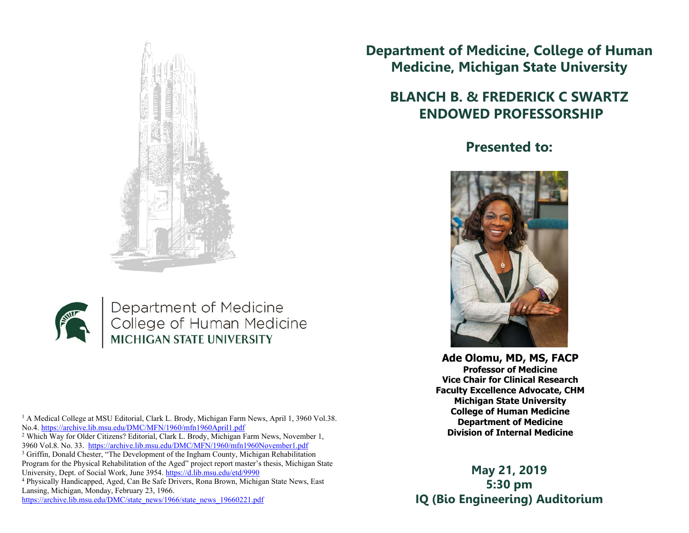



Department of Medicine College of Human Medicine **MICHIGAN STATE UNIVERSITY** 

<sup>1</sup> A Medical College at MSU Editorial, Clark L. Brody, Michigan Farm News, April 1, 3960 Vol.38. No.4. https://archive.lib.msu.edu/DMC/MFN/1960/mfn1960April1.pdf

2 Which Way for Older Citizens? Editorial, Clark L. Brody, Michigan Farm News, November 1, 3960 Vol.8. No. 33. https://archive.lib.msu.edu/DMC/MFN/1960/mfn1960November1.pdf

<sup>3</sup> Griffin, Donald Chester, "The Development of the Ingham County, Michigan Rehabilitation Program for the Physical Rehabilitation of the Aged" project report master's thesis, Michigan State University, Dept. of Social Work, June 3954. https://d.lib.msu.edu/etd/9990

4 Physically Handicapped, Aged, Can Be Safe Drivers, Rona Brown, Michigan State News, East Lansing, Michigan, Monday, February 23, 1966.

https://archive.lib.msu.edu/DMC/state\_news/1966/state\_news\_19660221.pdf

## **Department of Medicine, College of Human Medicine, Michigan State University**

## **BLANCH B. & FREDERICK C SWARTZ ENDOWED PROFESSORSHIP**

## **Presented to:**



**Ade Olomu, MD, MS, FACP Professor of Medicine Vice Chair for Clinical Research Faculty Excellence Advocate, CHM Michigan State University College of Human Medicine Department of Medicine Division of Internal Medicine**

**May 21, 2019 5:30 pm IQ (Bio Engineering) Auditorium**